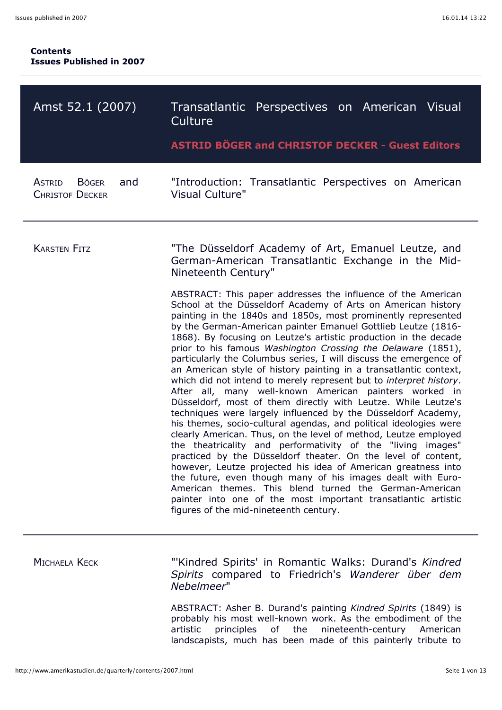| Amst 52.1 (2007)                                         | Transatlantic Perspectives on American Visual<br>Culture                                                                                                                                                                                                                                                                                                                                                                                                                                                                                                                                                                                                                                                                                                                                                                                                                                                                                                                                                                                                                                                                                                                                                                                                                                                                                                                                    |
|----------------------------------------------------------|---------------------------------------------------------------------------------------------------------------------------------------------------------------------------------------------------------------------------------------------------------------------------------------------------------------------------------------------------------------------------------------------------------------------------------------------------------------------------------------------------------------------------------------------------------------------------------------------------------------------------------------------------------------------------------------------------------------------------------------------------------------------------------------------------------------------------------------------------------------------------------------------------------------------------------------------------------------------------------------------------------------------------------------------------------------------------------------------------------------------------------------------------------------------------------------------------------------------------------------------------------------------------------------------------------------------------------------------------------------------------------------------|
|                                                          | <b>ASTRID BÖGER and CHRISTOF DECKER - Guest Editors</b>                                                                                                                                                                                                                                                                                                                                                                                                                                                                                                                                                                                                                                                                                                                                                                                                                                                                                                                                                                                                                                                                                                                                                                                                                                                                                                                                     |
| and<br>ASTRID<br><b>B</b> ÖGER<br><b>CHRISTOF DECKER</b> | "Introduction: Transatlantic Perspectives on American<br><b>Visual Culture"</b>                                                                                                                                                                                                                                                                                                                                                                                                                                                                                                                                                                                                                                                                                                                                                                                                                                                                                                                                                                                                                                                                                                                                                                                                                                                                                                             |
| <b>KARSTEN FITZ</b>                                      | "The Düsseldorf Academy of Art, Emanuel Leutze, and<br>German-American Transatlantic Exchange in the Mid-<br>Nineteenth Century"                                                                                                                                                                                                                                                                                                                                                                                                                                                                                                                                                                                                                                                                                                                                                                                                                                                                                                                                                                                                                                                                                                                                                                                                                                                            |
|                                                          | ABSTRACT: This paper addresses the influence of the American<br>School at the Düsseldorf Academy of Arts on American history<br>painting in the 1840s and 1850s, most prominently represented<br>by the German-American painter Emanuel Gottlieb Leutze (1816-<br>1868). By focusing on Leutze's artistic production in the decade<br>prior to his famous Washington Crossing the Delaware (1851),<br>particularly the Columbus series, I will discuss the emergence of<br>an American style of history painting in a transatlantic context,<br>which did not intend to merely represent but to interpret history.<br>After all, many well-known American painters worked in<br>Düsseldorf, most of them directly with Leutze. While Leutze's<br>techniques were largely influenced by the Düsseldorf Academy,<br>his themes, socio-cultural agendas, and political ideologies were<br>clearly American. Thus, on the level of method, Leutze employed<br>the theatricality and performativity of the "living images"<br>practiced by the Düsseldorf theater. On the level of content,<br>however, Leutze projected his idea of American greatness into<br>the future, even though many of his images dealt with Euro-<br>American themes. This blend turned the German-American<br>painter into one of the most important transatlantic artistic<br>figures of the mid-nineteenth century. |
| <b>MICHAELA KECK</b>                                     | "Kindred Spirits' in Romantic Walks: Durand's Kindred<br>Spirits compared to Friedrich's Wanderer über dem<br>Nebelmeer"                                                                                                                                                                                                                                                                                                                                                                                                                                                                                                                                                                                                                                                                                                                                                                                                                                                                                                                                                                                                                                                                                                                                                                                                                                                                    |

ABSTRACT: Asher B. Durand's painting *Kindred Spirits* (1849) is probably his most well-known work. As the embodiment of the artistic principles of the nineteenth-century American landscapists, much has been made of this painterly tribute to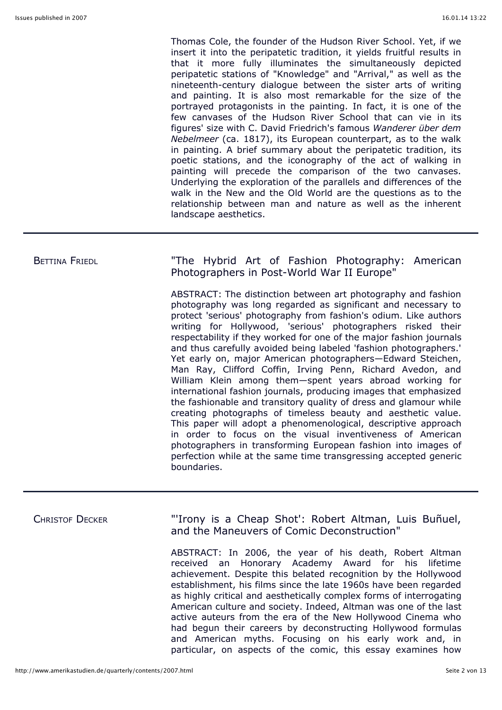Thomas Cole, the founder of the Hudson River School. Yet, if we insert it into the peripatetic tradition, it yields fruitful results in that it more fully illuminates the simultaneously depicted peripatetic stations of "Knowledge" and "Arrival," as well as the nineteenth-century dialogue between the sister arts of writing and painting. It is also most remarkable for the size of the portrayed protagonists in the painting. In fact, it is one of the few canvases of the Hudson River School that can vie in its figures' size with C. David Friedrich's famous *Wanderer über dem Nebelmeer* (ca. 1817), its European counterpart, as to the walk in painting. A brief summary about the peripatetic tradition, its poetic stations, and the iconography of the act of walking in painting will precede the comparison of the two canvases. Underlying the exploration of the parallels and differences of the walk in the New and the Old World are the questions as to the relationship between man and nature as well as the inherent landscape aesthetics.

BETTINA FRIEDL **The Hybrid Art of Fashion Photography: American** Photographers in Post-World War II Europe"

> ABSTRACT: The distinction between art photography and fashion photography was long regarded as significant and necessary to protect 'serious' photography from fashion's odium. Like authors writing for Hollywood, 'serious' photographers risked their respectability if they worked for one of the major fashion journals and thus carefully avoided being labeled 'fashion photographers.' Yet early on, major American photographers—Edward Steichen, Man Ray, Clifford Coffin, Irving Penn, Richard Avedon, and William Klein among them—spent years abroad working for international fashion journals, producing images that emphasized the fashionable and transitory quality of dress and glamour while creating photographs of timeless beauty and aesthetic value. This paper will adopt a phenomenological, descriptive approach in order to focus on the visual inventiveness of American photographers in transforming European fashion into images of perfection while at the same time transgressing accepted generic boundaries.

CHRISTOF DECKER "'Irony is a Cheap Shot': Robert Altman, Luis Buñuel, and the Maneuvers of Comic Deconstruction"

> ABSTRACT: In 2006, the year of his death, Robert Altman received an Honorary Academy Award for his lifetime achievement. Despite this belated recognition by the Hollywood establishment, his films since the late 1960s have been regarded as highly critical and aesthetically complex forms of interrogating American culture and society. Indeed, Altman was one of the last active auteurs from the era of the New Hollywood Cinema who had begun their careers by deconstructing Hollywood formulas and American myths. Focusing on his early work and, in particular, on aspects of the comic, this essay examines how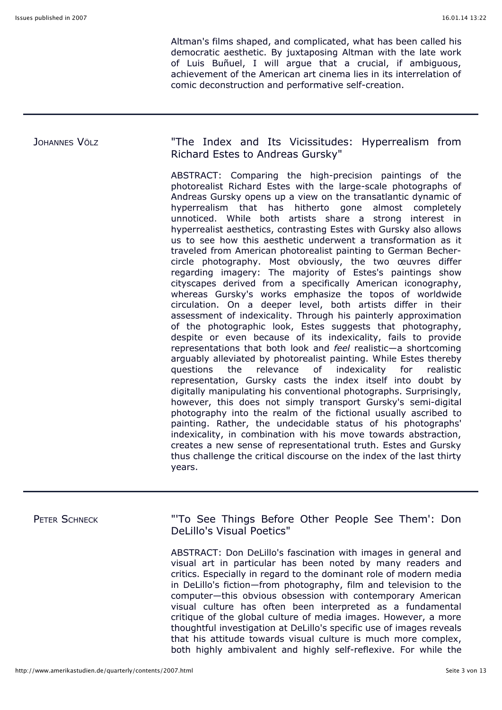Altman's films shaped, and complicated, what has been called his democratic aesthetic. By juxtaposing Altman with the late work of Luis Buñuel, I will argue that a crucial, if ambiguous, achievement of the American art cinema lies in its interrelation of comic deconstruction and performative self-creation.

### JOHANNES VÖLZ **The Index and Its Vicissitudes: Hyperrealism from** Richard Estes to Andreas Gursky"

ABSTRACT: Comparing the high-precision paintings of the photorealist Richard Estes with the large-scale photographs of Andreas Gursky opens up a view on the transatlantic dynamic of hyperrealism that has hitherto gone almost completely unnoticed. While both artists share a strong interest in hyperrealist aesthetics, contrasting Estes with Gursky also allows us to see how this aesthetic underwent a transformation as it traveled from American photorealist painting to German Bechercircle photography. Most obviously, the two œuvres differ regarding imagery: The majority of Estes's paintings show cityscapes derived from a specifically American iconography, whereas Gursky's works emphasize the topos of worldwide circulation. On a deeper level, both artists differ in their assessment of indexicality. Through his painterly approximation of the photographic look, Estes suggests that photography, despite or even because of its indexicality, fails to provide representations that both look and *feel* realistic—a shortcoming arguably alleviated by photorealist painting. While Estes thereby questions the relevance of indexicality for realistic representation, Gursky casts the index itself into doubt by digitally manipulating his conventional photographs. Surprisingly, however, this does not simply transport Gursky's semi-digital photography into the realm of the fictional usually ascribed to painting. Rather, the undecidable status of his photographs' indexicality, in combination with his move towards abstraction, creates a new sense of representational truth. Estes and Gursky thus challenge the critical discourse on the index of the last thirty years.

| PETER SCHNECK | "To See Things Before Other People See Them': Don<br>DeLillo's Visual Poetics"                                                                                                                                                                                                                                                                                                                                                                                                                                                                                                                                                                                                       |
|---------------|--------------------------------------------------------------------------------------------------------------------------------------------------------------------------------------------------------------------------------------------------------------------------------------------------------------------------------------------------------------------------------------------------------------------------------------------------------------------------------------------------------------------------------------------------------------------------------------------------------------------------------------------------------------------------------------|
|               | ABSTRACT: Don DeLillo's fascination with images in general and<br>visual art in particular has been noted by many readers and<br>critics. Especially in regard to the dominant role of modern media<br>in DeLillo's fiction-from photography, film and television to the<br>computer-this obvious obsession with contemporary American<br>visual culture has often been interpreted as a fundamental<br>critique of the global culture of media images. However, a more<br>thoughtful investigation at DeLillo's specific use of images reveals<br>that his attitude towards visual culture is much more complex,<br>both highly ambivalent and highly self-reflexive. For while the |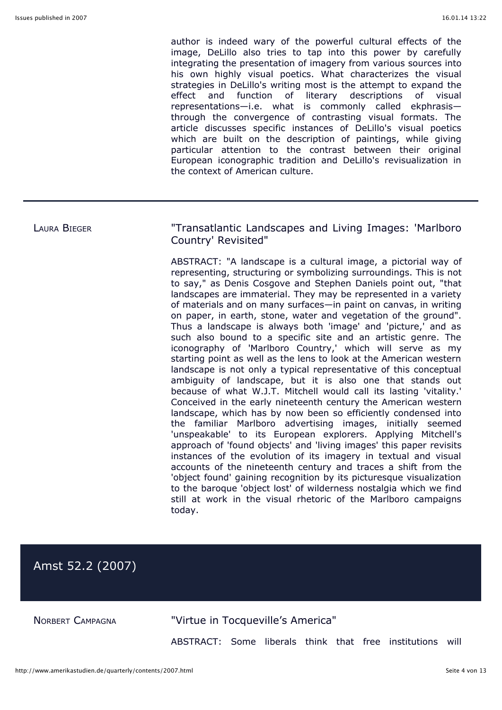author is indeed wary of the powerful cultural effects of the image, DeLillo also tries to tap into this power by carefully integrating the presentation of imagery from various sources into his own highly visual poetics. What characterizes the visual strategies in DeLillo's writing most is the attempt to expand the effect and function of literary descriptions of visual representations—i.e. what is commonly called ekphrasis through the convergence of contrasting visual formats. The article discusses specific instances of DeLillo's visual poetics which are built on the description of paintings, while giving particular attention to the contrast between their original European iconographic tradition and DeLillo's revisualization in the context of American culture.

### LAURA BIEGER **The Contract Contract Contract August 2** Transatlantic Landscapes and Living Images: 'Marlboro Country' Revisited"

ABSTRACT: "A landscape is a cultural image, a pictorial way of representing, structuring or symbolizing surroundings. This is not to say," as Denis Cosgove and Stephen Daniels point out, "that landscapes are immaterial. They may be represented in a variety of materials and on many surfaces—in paint on canvas, in writing on paper, in earth, stone, water and vegetation of the ground". Thus a landscape is always both 'image' and 'picture,' and as such also bound to a specific site and an artistic genre. The iconography of 'Marlboro Country,' which will serve as my starting point as well as the lens to look at the American western landscape is not only a typical representative of this conceptual ambiguity of landscape, but it is also one that stands out because of what W.J.T. Mitchell would call its lasting 'vitality.' Conceived in the early nineteenth century the American western landscape, which has by now been so efficiently condensed into the familiar Marlboro advertising images, initially seemed 'unspeakable' to its European explorers. Applying Mitchell's approach of 'found objects' and 'living images' this paper revisits instances of the evolution of its imagery in textual and visual accounts of the nineteenth century and traces a shift from the 'object found' gaining recognition by its picturesque visualization to the baroque 'object lost' of wilderness nostalgia which we find still at work in the visual rhetoric of the Marlboro campaigns today.

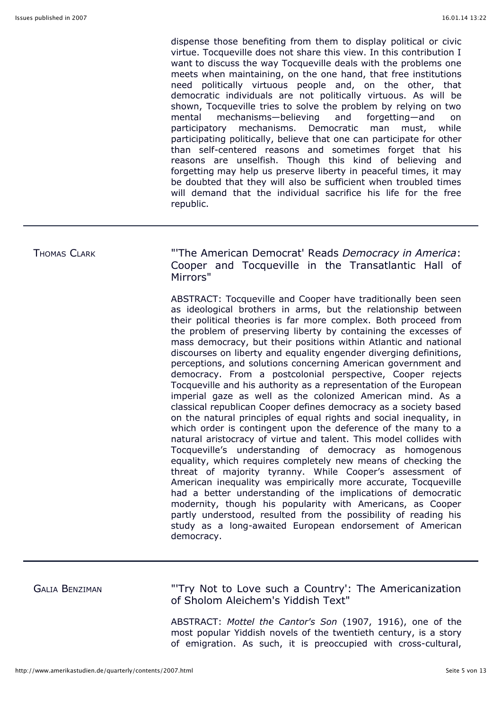dispense those benefiting from them to display political or civic virtue. Tocqueville does not share this view. In this contribution I want to discuss the way Tocqueville deals with the problems one meets when maintaining, on the one hand, that free institutions need politically virtuous people and, on the other, that democratic individuals are not politically virtuous. As will be shown, Tocqueville tries to solve the problem by relying on two mental mechanisms—believing and forgetting—and on participatory mechanisms. Democratic man must, while participating politically, believe that one can participate for other than self-centered reasons and sometimes forget that his reasons are unselfish. Though this kind of believing and forgetting may help us preserve liberty in peaceful times, it may be doubted that they will also be sufficient when troubled times will demand that the individual sacrifice his life for the free republic.

## THOMAS CLARK "'The American Democrat' Reads *Democracy in America*: Cooper and Tocqueville in the Transatlantic Hall of Mirrors"

ABSTRACT: Tocqueville and Cooper have traditionally been seen as ideological brothers in arms, but the relationship between their political theories is far more complex. Both proceed from the problem of preserving liberty by containing the excesses of mass democracy, but their positions within Atlantic and national discourses on liberty and equality engender diverging definitions, perceptions, and solutions concerning American government and democracy. From a postcolonial perspective, Cooper rejects Tocqueville and his authority as a representation of the European imperial gaze as well as the colonized American mind. As a classical republican Cooper defines democracy as a society based on the natural principles of equal rights and social inequality, in which order is contingent upon the deference of the many to a natural aristocracy of virtue and talent. This model collides with Tocqueville's understanding of democracy as homogenous equality, which requires completely new means of checking the threat of majority tyranny. While Cooper's assessment of American inequality was empirically more accurate, Tocqueville had a better understanding of the implications of democratic modernity, though his popularity with Americans, as Cooper partly understood, resulted from the possibility of reading his study as a long-awaited European endorsement of American democracy.

GALIA BENZIMAN "'Try Not to Love such a Country': The Americanization of Sholom Aleichem's Yiddish Text"

> ABSTRACT: *Mottel the Cantor's Son* (1907, 1916), one of the most popular Yiddish novels of the twentieth century, is a story of emigration. As such, it is preoccupied with cross-cultural,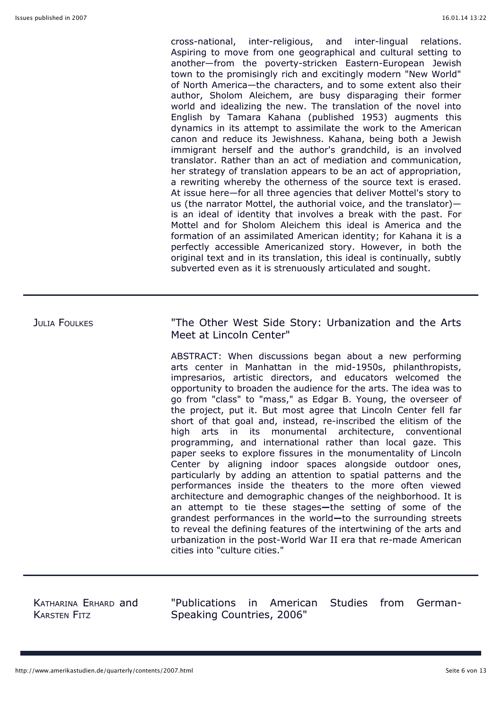cross-national, inter-religious, and inter-lingual relations. Aspiring to move from one geographical and cultural setting to another—from the poverty-stricken Eastern-European Jewish town to the promisingly rich and excitingly modern "New World" of North America—the characters, and to some extent also their author, Sholom Aleichem, are busy disparaging their former world and idealizing the new. The translation of the novel into English by Tamara Kahana (published 1953) augments this dynamics in its attempt to assimilate the work to the American canon and reduce its Jewishness. Kahana, being both a Jewish immigrant herself and the author's grandchild, is an involved translator. Rather than an act of mediation and communication, her strategy of translation appears to be an act of appropriation, a rewriting whereby the otherness of the source text is erased. At issue here—for all three agencies that deliver Mottel's story to us (the narrator Mottel, the authorial voice, and the translator) is an ideal of identity that involves a break with the past. For Mottel and for Sholom Aleichem this ideal is America and the formation of an assimilated American identity; for Kahana it is a perfectly accessible Americanized story. However, in both the original text and in its translation, this ideal is continually, subtly subverted even as it is strenuously articulated and sought.

JULIA FOULKES **The State State Strate Story: Urbanization and the Arts** Meet at Lincoln Center"

> ABSTRACT: When discussions began about a new performing arts center in Manhattan in the mid-1950s, philanthropists, impresarios, artistic directors, and educators welcomed the opportunity to broaden the audience for the arts. The idea was to go from "class" to "mass," as Edgar B. Young, the overseer of the project, put it. But most agree that Lincoln Center fell far short of that goal and, instead, re-inscribed the elitism of the high arts in its monumental architecture, conventional programming, and international rather than local gaze. This paper seeks to explore fissures in the monumentality of Lincoln Center by aligning indoor spaces alongside outdoor ones, particularly by adding an attention to spatial patterns and the performances inside the theaters to the more often viewed architecture and demographic changes of the neighborhood. It is an attempt to tie these stages**—**the setting of some of the grandest performances in the world**—**to the surrounding streets to reveal the defining features of the intertwining of the arts and urbanization in the post-World War II era that re-made American cities into "culture cities."

KATHARINA ERHARD and KARSTEN FITZ

"Publications in American Studies from German-Speaking Countries, 2006"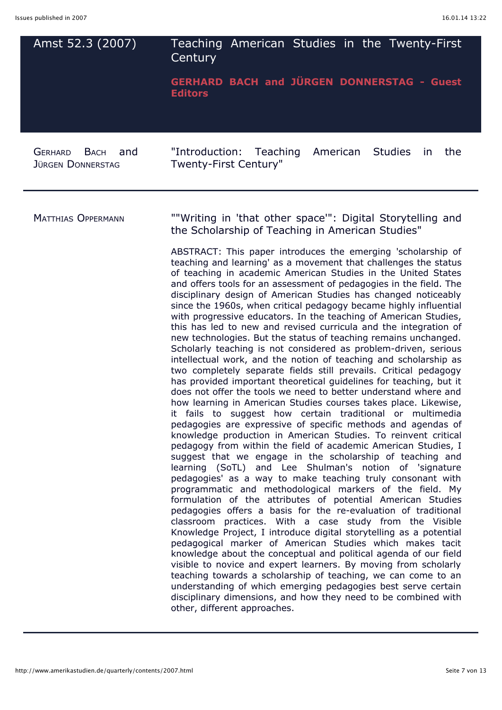| Amst 52.3 (2007)                                                 | Teaching American Studies in the Twenty-First<br>Century<br><b>GERHARD BACH and JÜRGEN DONNERSTAG - Guest</b>                                                                                                                                                                                                                                                                                                                                                                                                                                                                                                                                                                                                                                                                                                                                                                                                                                                                                                                                                                                                                                                                                                                                                                                                                                                                                                                                                                                                                                                                                                                                                                                                                                                                                                                                                                                                                                                                                                                                                                                                                                                                                                                                                                                                                                                                              |
|------------------------------------------------------------------|--------------------------------------------------------------------------------------------------------------------------------------------------------------------------------------------------------------------------------------------------------------------------------------------------------------------------------------------------------------------------------------------------------------------------------------------------------------------------------------------------------------------------------------------------------------------------------------------------------------------------------------------------------------------------------------------------------------------------------------------------------------------------------------------------------------------------------------------------------------------------------------------------------------------------------------------------------------------------------------------------------------------------------------------------------------------------------------------------------------------------------------------------------------------------------------------------------------------------------------------------------------------------------------------------------------------------------------------------------------------------------------------------------------------------------------------------------------------------------------------------------------------------------------------------------------------------------------------------------------------------------------------------------------------------------------------------------------------------------------------------------------------------------------------------------------------------------------------------------------------------------------------------------------------------------------------------------------------------------------------------------------------------------------------------------------------------------------------------------------------------------------------------------------------------------------------------------------------------------------------------------------------------------------------------------------------------------------------------------------------------------------------|
|                                                                  | <b>Editors</b>                                                                                                                                                                                                                                                                                                                                                                                                                                                                                                                                                                                                                                                                                                                                                                                                                                                                                                                                                                                                                                                                                                                                                                                                                                                                                                                                                                                                                                                                                                                                                                                                                                                                                                                                                                                                                                                                                                                                                                                                                                                                                                                                                                                                                                                                                                                                                                             |
| <b>GERHARD</b><br><b>BACH</b><br>and<br><b>JÜRGEN DONNERSTAG</b> | "Introduction:<br>Teaching<br>American<br><b>Studies</b><br>the<br>in.<br>Twenty-First Century"                                                                                                                                                                                                                                                                                                                                                                                                                                                                                                                                                                                                                                                                                                                                                                                                                                                                                                                                                                                                                                                                                                                                                                                                                                                                                                                                                                                                                                                                                                                                                                                                                                                                                                                                                                                                                                                                                                                                                                                                                                                                                                                                                                                                                                                                                            |
| <b>MATTHIAS OPPERMANN</b>                                        | ""Writing in 'that other space": Digital Storytelling and<br>the Scholarship of Teaching in American Studies"<br>ABSTRACT: This paper introduces the emerging 'scholarship of<br>teaching and learning' as a movement that challenges the status<br>of teaching in academic American Studies in the United States<br>and offers tools for an assessment of pedagogies in the field. The<br>disciplinary design of American Studies has changed noticeably<br>since the 1960s, when critical pedagogy became highly influential<br>with progressive educators. In the teaching of American Studies,<br>this has led to new and revised curricula and the integration of<br>new technologies. But the status of teaching remains unchanged.<br>Scholarly teaching is not considered as problem-driven, serious<br>intellectual work, and the notion of teaching and scholarship as<br>two completely separate fields still prevails. Critical pedagogy<br>has provided important theoretical guidelines for teaching, but it<br>does not offer the tools we need to better understand where and<br>how learning in American Studies courses takes place. Likewise<br>it fails to suggest how certain traditional or multimedia<br>pedagogies are expressive of specific methods and agendas of<br>knowledge production in American Studies. To reinvent critical<br>pedagogy from within the field of academic American Studies, I<br>suggest that we engage in the scholarship of teaching and<br>learning (SoTL) and Lee Shulman's notion of 'signature<br>pedagogies' as a way to make teaching truly consonant with<br>programmatic and methodological markers of the field. My<br>formulation of the attributes of potential American Studies<br>pedagogies offers a basis for the re-evaluation of traditional<br>classroom practices. With a case study from the Visible<br>Knowledge Project, I introduce digital storytelling as a potential<br>pedagogical marker of American Studies which makes tacit<br>knowledge about the conceptual and political agenda of our field<br>visible to novice and expert learners. By moving from scholarly<br>teaching towards a scholarship of teaching, we can come to an<br>understanding of which emerging pedagogies best serve certain<br>disciplinary dimensions, and how they need to be combined with<br>other, different approaches. |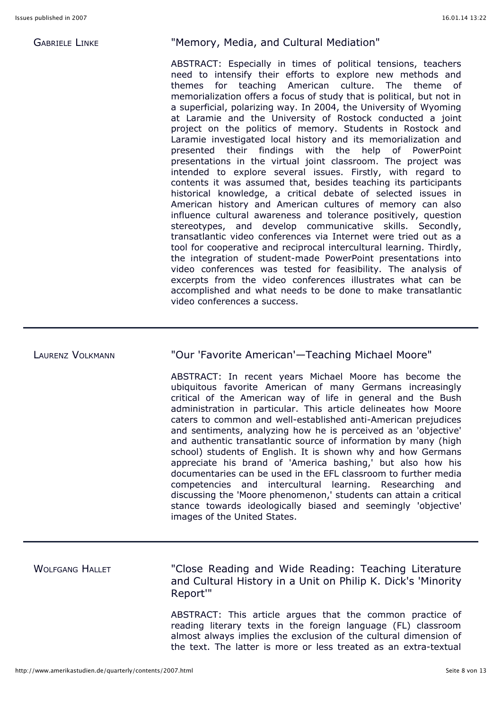### GABRIELE LINKE "Memory, Media, and Cultural Mediation"

ABSTRACT: Especially in times of political tensions, teachers need to intensify their efforts to explore new methods and themes for teaching American culture. The theme of memorialization offers a focus of study that is political, but not in a superficial, polarizing way. In 2004, the University of Wyoming at Laramie and the University of Rostock conducted a joint project on the politics of memory. Students in Rostock and Laramie investigated local history and its memorialization and presented their findings with the help of PowerPoint presentations in the virtual joint classroom. The project was intended to explore several issues. Firstly, with regard to contents it was assumed that, besides teaching its participants historical knowledge, a critical debate of selected issues in American history and American cultures of memory can also influence cultural awareness and tolerance positively, question stereotypes, and develop communicative skills. Secondly, transatlantic video conferences via Internet were tried out as a tool for cooperative and reciprocal intercultural learning. Thirdly, the integration of student-made PowerPoint presentations into video conferences was tested for feasibility. The analysis of excerpts from the video conferences illustrates what can be accomplished and what needs to be done to make transatlantic video conferences a success.

### LAURENZ VOLKMANN "Our 'Favorite American'—Teaching Michael Moore"

ABSTRACT: In recent years Michael Moore has become the ubiquitous favorite American of many Germans increasingly critical of the American way of life in general and the Bush administration in particular. This article delineates how Moore caters to common and well-established anti-American prejudices and sentiments, analyzing how he is perceived as an 'objective' and authentic transatlantic source of information by many (high school) students of English. It is shown why and how Germans appreciate his brand of 'America bashing,' but also how his documentaries can be used in the EFL classroom to further media competencies and intercultural learning. Researching and discussing the 'Moore phenomenon,' students can attain a critical stance towards ideologically biased and seemingly 'objective' images of the United States.

# WOLFGANG HALLET "Close Reading and Wide Reading: Teaching Literature and Cultural History in a Unit on Philip K. Dick's 'Minority Report'"

ABSTRACT: This article argues that the common practice of reading literary texts in the foreign language (FL) classroom almost always implies the exclusion of the cultural dimension of the text. The latter is more or less treated as an extra-textual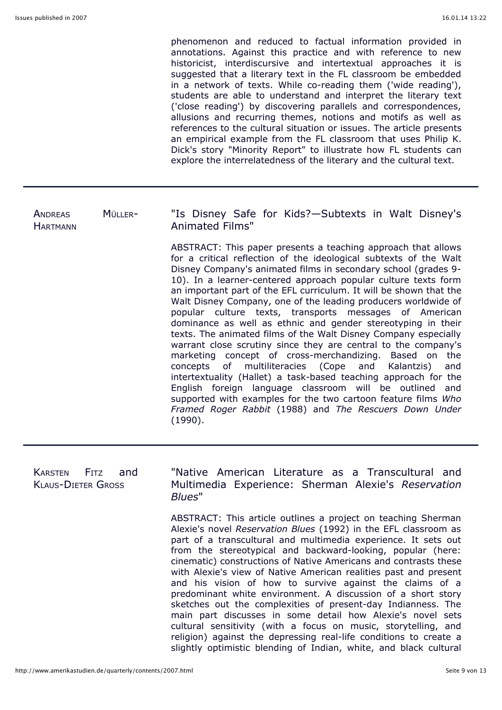phenomenon and reduced to factual information provided in annotations. Against this practice and with reference to new historicist, interdiscursive and intertextual approaches it is suggested that a literary text in the FL classroom be embedded in a network of texts. While co-reading them ('wide reading'), students are able to understand and interpret the literary text ('close reading') by discovering parallels and correspondences, allusions and recurring themes, notions and motifs as well as references to the cultural situation or issues. The article presents an empirical example from the FL classroom that uses Philip K. Dick's story "Minority Report" to illustrate how FL students can explore the interrelatedness of the literary and the cultural text.

slightly optimistic blending of Indian, white, and black cultural

| <b>ANDREAS</b><br><b>HARTMANN</b>                                 | MÜLLER- | "Is Disney Safe for Kids?-Subtexts in Walt Disney's<br><b>Animated Films"</b><br>ABSTRACT: This paper presents a teaching approach that allows<br>for a critical reflection of the ideological subtexts of the Walt<br>Disney Company's animated films in secondary school (grades 9-<br>10). In a learner-centered approach popular culture texts form<br>an important part of the EFL curriculum. It will be shown that the<br>Walt Disney Company, one of the leading producers worldwide of<br>popular culture texts, transports messages of American<br>dominance as well as ethnic and gender stereotyping in their<br>texts. The animated films of the Walt Disney Company especially<br>warrant close scrutiny since they are central to the company's<br>marketing concept of cross-merchandizing.<br>Based on the<br>multiliteracies (Cope<br>and<br>Kalantzis)<br>and<br>concepts<br>of<br>intertextuality (Hallet) a task-based teaching approach for the |
|-------------------------------------------------------------------|---------|-----------------------------------------------------------------------------------------------------------------------------------------------------------------------------------------------------------------------------------------------------------------------------------------------------------------------------------------------------------------------------------------------------------------------------------------------------------------------------------------------------------------------------------------------------------------------------------------------------------------------------------------------------------------------------------------------------------------------------------------------------------------------------------------------------------------------------------------------------------------------------------------------------------------------------------------------------------------------|
|                                                                   |         | English foreign language classroom will be outlined<br>and<br>supported with examples for the two cartoon feature films Who<br>Framed Roger Rabbit (1988) and The Rescuers Down Under<br>(1990).                                                                                                                                                                                                                                                                                                                                                                                                                                                                                                                                                                                                                                                                                                                                                                      |
|                                                                   |         |                                                                                                                                                                                                                                                                                                                                                                                                                                                                                                                                                                                                                                                                                                                                                                                                                                                                                                                                                                       |
| <b>KARSTEN</b><br><b>FITZ</b><br>and<br><b>KLAUS-DIETER GROSS</b> |         | "Native American Literature as a Transcultural and<br>Multimedia Experience: Sherman Alexie's Reservation<br>Blues"                                                                                                                                                                                                                                                                                                                                                                                                                                                                                                                                                                                                                                                                                                                                                                                                                                                   |
|                                                                   |         | ABSTRACT: This article outlines a project on teaching Sherman<br>Alexie's novel Reservation Blues (1992) in the EFL classroom as<br>part of a transcultural and multimedia experience. It sets out<br>from the stereotypical and backward-looking, popular (here:<br>cinematic) constructions of Native Americans and contrasts these<br>with Alexie's view of Native American realities past and present<br>and his vision of how to survive against the claims of a<br>predominant white environment. A discussion of a short story<br>sketches out the complexities of present-day Indianness. The<br>main part discusses in some detail how Alexie's novel sets<br>cultural sensitivity (with a focus on music, storytelling, and<br>religion) against the depressing real-life conditions to create a                                                                                                                                                            |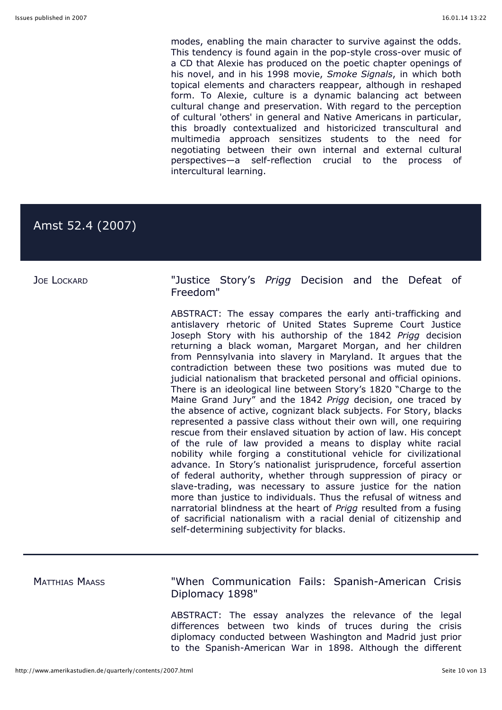modes, enabling the main character to survive against the odds. This tendency is found again in the pop-style cross-over music of a CD that Alexie has produced on the poetic chapter openings of his novel, and in his 1998 movie, *Smoke Signals*, in which both topical elements and characters reappear, although in reshaped form. To Alexie, culture is a dynamic balancing act between cultural change and preservation. With regard to the perception of cultural 'others' in general and Native Americans in particular, this broadly contextualized and historicized transcultural and multimedia approach sensitizes students to the need for negotiating between their own internal and external cultural perspectives—a self-reflection crucial to the process of intercultural learning.

# Amst 52.4 (2007)

JOE LOCKARD "Justice Story's *Prigg* Decision and the Defeat of Freedom"

> ABSTRACT: The essay compares the early anti-trafficking and antislavery rhetoric of United States Supreme Court Justice Joseph Story with his authorship of the 1842 *Prigg* decision returning a black woman, Margaret Morgan, and her children from Pennsylvania into slavery in Maryland. It argues that the contradiction between these two positions was muted due to judicial nationalism that bracketed personal and official opinions. There is an ideological line between Story's 1820 "Charge to the Maine Grand Jury" and the 1842 *Prigg* decision, one traced by the absence of active, cognizant black subjects. For Story, blacks represented a passive class without their own will, one requiring rescue from their enslaved situation by action of law. His concept of the rule of law provided a means to display white racial nobility while forging a constitutional vehicle for civilizational advance. In Story's nationalist jurisprudence, forceful assertion of federal authority, whether through suppression of piracy or slave-trading, was necessary to assure justice for the nation more than justice to individuals. Thus the refusal of witness and narratorial blindness at the heart of *Prigg* resulted from a fusing of sacrificial nationalism with a racial denial of citizenship and self-determining subjectivity for blacks.

MATTHIAS MAASS "When Communication Fails: Spanish-American Crisis Diplomacy 1898"

> ABSTRACT: The essay analyzes the relevance of the legal differences between two kinds of truces during the crisis diplomacy conducted between Washington and Madrid just prior to the Spanish-American War in 1898. Although the different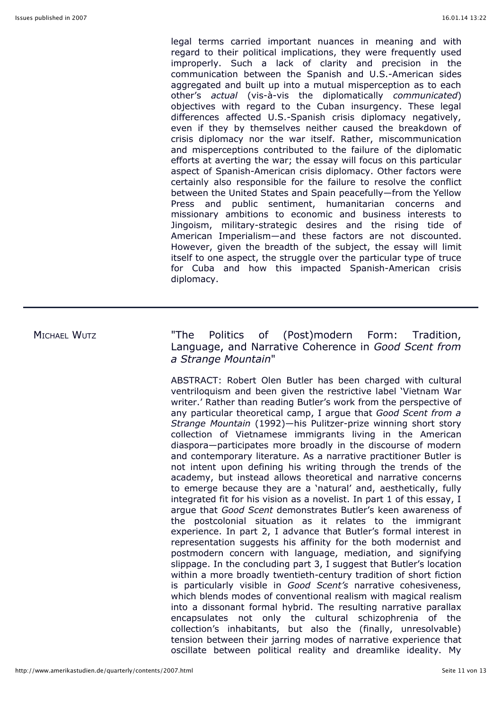legal terms carried important nuances in meaning and with regard to their political implications, they were frequently used improperly. Such a lack of clarity and precision in the communication between the Spanish and U.S.-American sides aggregated and built up into a mutual misperception as to each other's *actual* (vis-à-vis the diplomatically *communicated*) objectives with regard to the Cuban insurgency. These legal differences affected U.S.-Spanish crisis diplomacy negatively, even if they by themselves neither caused the breakdown of crisis diplomacy nor the war itself. Rather, miscommunication and misperceptions contributed to the failure of the diplomatic efforts at averting the war; the essay will focus on this particular aspect of Spanish-American crisis diplomacy. Other factors were certainly also responsible for the failure to resolve the conflict between the United States and Spain peacefully—from the Yellow Press and public sentiment, humanitarian concerns and missionary ambitions to economic and business interests to Jingoism, military-strategic desires and the rising tide of American Imperialism—and these factors are not discounted. However, given the breadth of the subject, the essay will limit itself to one aspect, the struggle over the particular type of truce for Cuba and how this impacted Spanish-American crisis diplomacy.

MICHAEL WUTZ "The Politics of (Post)modern Form: Tradition, Language, and Narrative Coherence in *Good Scent from a Strange Mountain*"

> ABSTRACT: Robert Olen Butler has been charged with cultural ventriloquism and been given the restrictive label 'Vietnam War writer.' Rather than reading Butler's work from the perspective of any particular theoretical camp, I argue that *Good Scent from a Strange Mountain* (1992)—his Pulitzer-prize winning short story collection of Vietnamese immigrants living in the American diaspora—participates more broadly in the discourse of modern and contemporary literature. As a narrative practitioner Butler is not intent upon defining his writing through the trends of the academy, but instead allows theoretical and narrative concerns to emerge because they are a 'natural' and, aesthetically, fully integrated fit for his vision as a novelist. In part 1 of this essay, I argue that *Good Scent* demonstrates Butler's keen awareness of the postcolonial situation as it relates to the immigrant experience. In part 2, I advance that Butler's formal interest in representation suggests his affinity for the both modernist and postmodern concern with language, mediation, and signifying slippage. In the concluding part 3, I suggest that Butler's location within a more broadly twentieth-century tradition of short fiction is particularly visible in *Good Scent's* narrative cohesiveness, which blends modes of conventional realism with magical realism into a dissonant formal hybrid. The resulting narrative parallax encapsulates not only the cultural schizophrenia of the collection's inhabitants, but also the (finally, unresolvable) tension between their jarring modes of narrative experience that oscillate between political reality and dreamlike ideality. My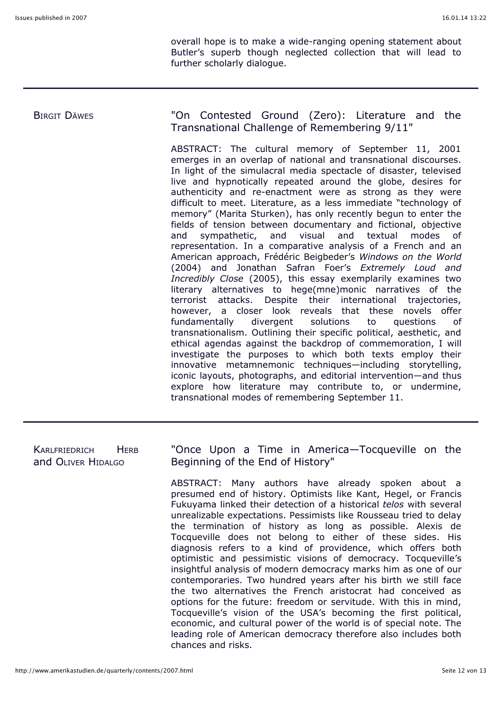overall hope is to make a wide-ranging opening statement about Butler's superb though neglected collection that will lead to further scholarly dialogue.

# BIRGIT DÄWES "On Contested Ground (Zero): Literature and the Transnational Challenge of Remembering 9/11"

ABSTRACT: The cultural memory of September 11, 2001 emerges in an overlap of national and transnational discourses. In light of the simulacral media spectacle of disaster, televised live and hypnotically repeated around the globe, desires for authenticity and re-enactment were as strong as they were difficult to meet. Literature, as a less immediate "technology of memory" (Marita Sturken), has only recently begun to enter the fields of tension between documentary and fictional, objective and sympathetic, and visual and textual modes of representation. In a comparative analysis of a French and an American approach, Frédéric Beigbeder's *Windows on the World* (2004) and Jonathan Safran Foer's *Extremely Loud and Incredibly Close* (2005), this essay exemplarily examines two literary alternatives to hege(mne)monic narratives of the terrorist attacks. Despite their international trajectories, however, a closer look reveals that these novels offer fundamentally divergent solutions to questions of transnationalism. Outlining their specific political, aesthetic, and ethical agendas against the backdrop of commemoration, I will investigate the purposes to which both texts employ their innovative metamnemonic techniques—including storytelling, iconic layouts, photographs, and editorial intervention—and thus explore how literature may contribute to, or undermine, transnational modes of remembering September 11.

| <b>HERB</b><br>KARLFRIEDRICH<br>and OLIVER HIDALGO | "Once Upon a Time in America—Tocqueville on the<br>Beginning of the End of History" |  |                                                                                                                                                                                                                                                                                                                                                                                                                                                                                                                                                                                                                                                                                                                                                                                                                                                                                                                                                                                                                                        |
|----------------------------------------------------|-------------------------------------------------------------------------------------|--|----------------------------------------------------------------------------------------------------------------------------------------------------------------------------------------------------------------------------------------------------------------------------------------------------------------------------------------------------------------------------------------------------------------------------------------------------------------------------------------------------------------------------------------------------------------------------------------------------------------------------------------------------------------------------------------------------------------------------------------------------------------------------------------------------------------------------------------------------------------------------------------------------------------------------------------------------------------------------------------------------------------------------------------|
|                                                    |                                                                                     |  | ABSTRACT: Many authors have already spoken about a<br>presumed end of history. Optimists like Kant, Hegel, or Francis<br>Fukuyama linked their detection of a historical telos with several<br>unrealizable expectations. Pessimists like Rousseau tried to delay<br>the termination of history as long as possible. Alexis de<br>Tocqueville does not belong to either of these sides. His<br>diagnosis refers to a kind of providence, which offers both<br>optimistic and pessimistic visions of democracy. Tocqueville's<br>insightful analysis of modern democracy marks him as one of our<br>contemporaries. Two hundred years after his birth we still face<br>the two alternatives the French aristocrat had conceived as<br>options for the future: freedom or servitude. With this in mind,<br>Tocqueville's vision of the USA's becoming the first political,<br>economic, and cultural power of the world is of special note. The<br>leading role of American democracy therefore also includes both<br>chances and risks. |